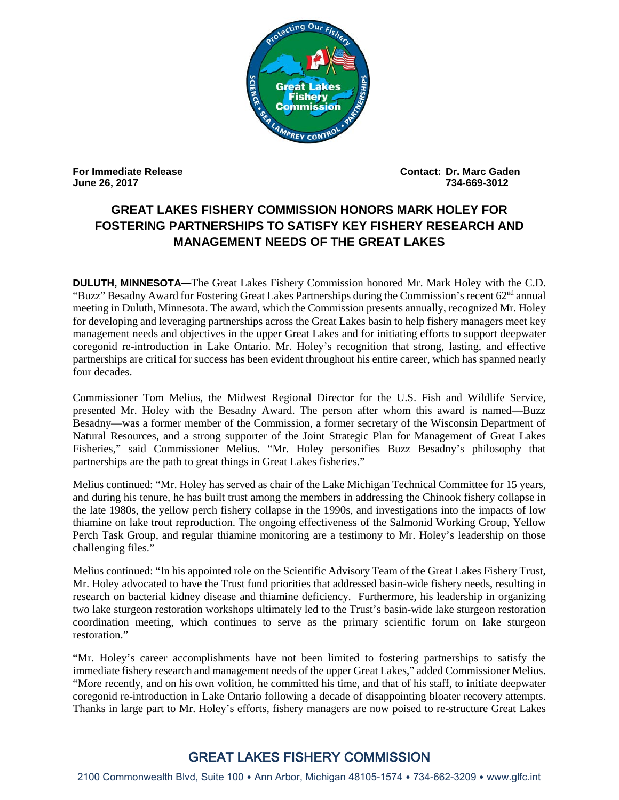

**June 26, 2017 734-669-3012** 

**For Immediate Release Contact: Dr. Marc Gaden** 

## **GREAT LAKES FISHERY COMMISSION HONORS MARK HOLEY FOR FOSTERING PARTNERSHIPS TO SATISFY KEY FISHERY RESEARCH AND MANAGEMENT NEEDS OF THE GREAT LAKES**

**DULUTH, MINNESOTA—**The Great Lakes Fishery Commission honored Mr. Mark Holey with the C.D. "Buzz" Besadny Award for Fostering Great Lakes Partnerships during the Commission's recent 62nd annual meeting in Duluth, Minnesota. The award, which the Commission presents annually, recognized Mr. Holey for developing and leveraging partnerships across the Great Lakes basin to help fishery managers meet key management needs and objectives in the upper Great Lakes and for initiating efforts to support deepwater coregonid re-introduction in Lake Ontario. Mr. Holey's recognition that strong, lasting, and effective partnerships are critical for success has been evident throughout his entire career, which has spanned nearly four decades.

Commissioner Tom Melius, the Midwest Regional Director for the U.S. Fish and Wildlife Service, presented Mr. Holey with the Besadny Award. The person after whom this award is named—Buzz Besadny—was a former member of the Commission, a former secretary of the Wisconsin Department of Natural Resources, and a strong supporter of the Joint Strategic Plan for Management of Great Lakes Fisheries," said Commissioner Melius. "Mr. Holey personifies Buzz Besadny's philosophy that partnerships are the path to great things in Great Lakes fisheries."

Melius continued: "Mr. Holey has served as chair of the Lake Michigan Technical Committee for 15 years, and during his tenure, he has built trust among the members in addressing the Chinook fishery collapse in the late 1980s, the yellow perch fishery collapse in the 1990s, and investigations into the impacts of low thiamine on lake trout reproduction. The ongoing effectiveness of the Salmonid Working Group, Yellow Perch Task Group, and regular thiamine monitoring are a testimony to Mr. Holey's leadership on those challenging files."

Melius continued: "In his appointed role on the Scientific Advisory Team of the Great Lakes Fishery Trust, Mr. Holey advocated to have the Trust fund priorities that addressed basin-wide fishery needs, resulting in research on bacterial kidney disease and thiamine deficiency. Furthermore, his leadership in organizing two lake sturgeon restoration workshops ultimately led to the Trust's basin-wide lake sturgeon restoration coordination meeting, which continues to serve as the primary scientific forum on lake sturgeon restoration."

"Mr. Holey's career accomplishments have not been limited to fostering partnerships to satisfy the immediate fishery research and management needs of the upper Great Lakes," added Commissioner Melius. "More recently, and on his own volition, he committed his time, and that of his staff, to initiate deepwater coregonid re-introduction in Lake Ontario following a decade of disappointing bloater recovery attempts. Thanks in large part to Mr. Holey's efforts, fishery managers are now poised to re-structure Great Lakes

## GREAT LAKES FISHERY COMMISSION